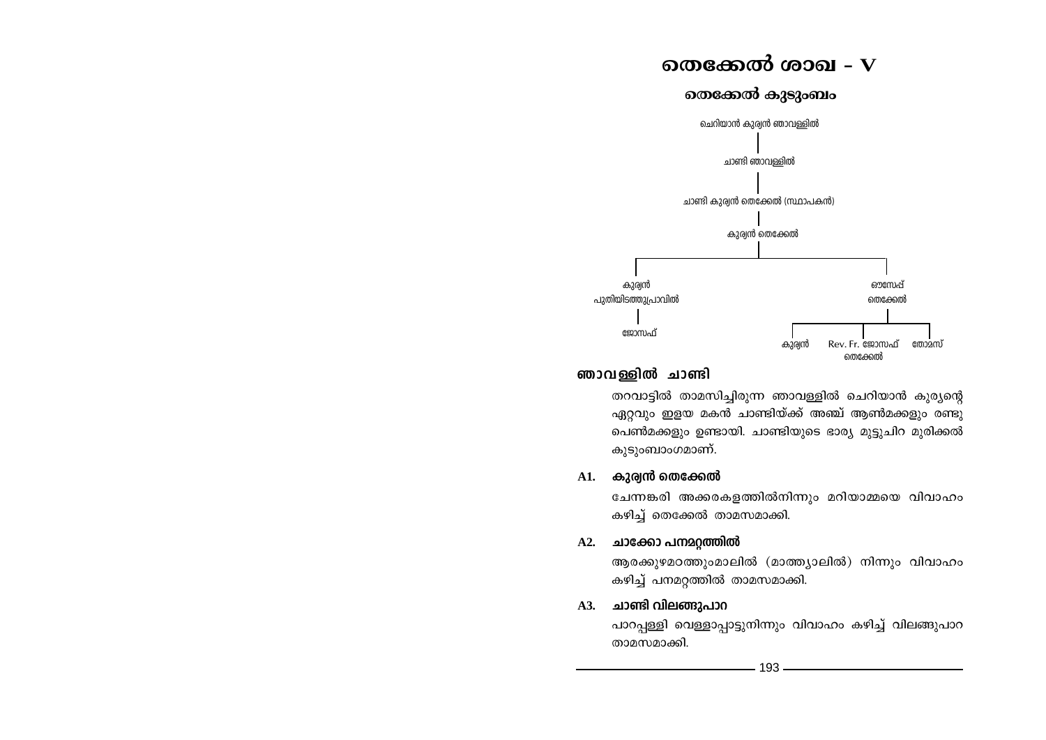# തെക്കേൽ ശാഖ $-{\bf V}$





## ഞാവള്ളിൽ ചാണ്ടി

തറവാട്ടിൽ താമസിച്ചിരുന്ന ഞാവള്ളിൽ ചെറിയാൻ കുര്യന്റെ ഏറ്റവും ഇളയ മകൻ ചാണ്ടിയ്ക്ക് അഞ്ച് ആൺമക്കളും രണ്ടു പെൺമക്കളും ഉണ്ടായി. ചാണ്ടിയുടെ ഭാര്യ മുട്ടുചിറ മുരിക്കൽ കുടുംബാംഗമാണ്.

#### കുര്വൻ തെക്കേൽ **A1.**

ചേന്നങ്കരി അക്കരകളത്തിൽനിന്നും മറിയാമ്മയെ വിവാഹം കഴിച്ച് തെക്കേൽ താമസമാക്കി.

## A2. ചാക്കോ പനമറ്റത്തിൽ

ആരക്കുഴമഠത്തുംമാലിൽ (മാത്ത്യാലിൽ) നിന്നും വിവാഹം കഴിച്ച് പനമറ്റത്തിൽ താമസമാക്കി.

## A3. ചാണ്ടി വിലങ്ങുപാറ

പാറപ്പള്ളി വെള്ളാപ്പാട്ടുനിന്നും വിവാഹം കഴിച്ച് വിലങ്ങുപാറ താമസമാക്കി.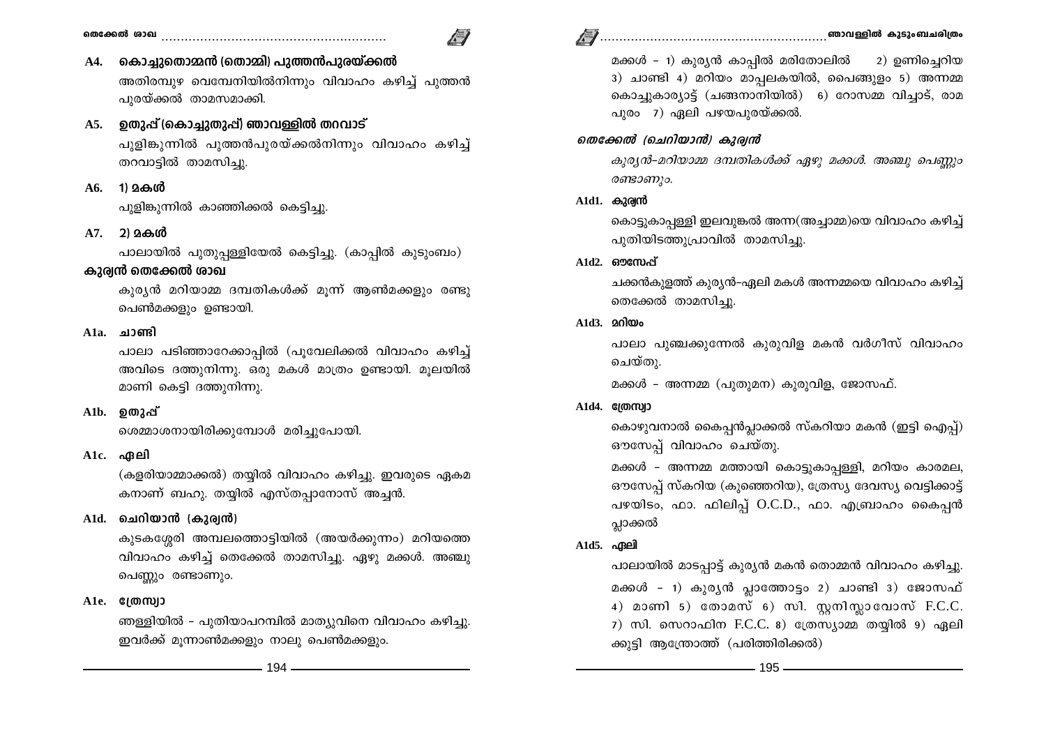- 
- / I
- കൊച്ചുതൊമ്മൻ (തൊമ്മി) പുത്തൻപുരയ്ക്കൽ **A4.** അതിരമ്പുഴ വെമ്പേനിയിൽനിന്നും വിവാഹം കഴിച്ച് പുത്തൻ പുരയ്ക്കൽ താമസമാക്കി.
- A5. ഉതുപ്പ് (കൊച്ചുതുപ്പ്) ഞാവള്ളിൽ തറവാട് പൂളിങ്കുന്നിൽ പുത്തൻപുരയ്ക്കൽനിന്നും വിവാഹം കഴിച്ച് തറവാട്ടിൽ താമസിച്ചു.
- A6. 1) മകൾ

പുളിങ്കുന്നിൽ കാഞ്ഞിക്കൽ കെട്ടിച്ചു.

A7. 2) മകൾ

പാലായിൽ പുതുപ്പള്ളിയേൽ കെട്ടിച്ചു. (കാപ്പിൽ കുടുംബം)

## കുര്വൻ തെക്കേൽ ശാഖ

കുര്യൻ മറിയാമ്മ ദമ്പതികൾക്ക് മൂന്ന് ആൺമക്കളും രണ്ടു പെൺമക്കളും ഉണ്ടായി.

 $A1a.$  ചാണ്ടി

പാലാ പടിഞ്ഞാറേക്കാപ്പിൽ (പൂവേലിക്കൽ വിവാഹം കഴിച്ച് അവിടെ ദത്തുനിന്നു. ഒരു മകൾ മാത്രം ഉണ്ടായി. മൂലയിൽ മാണി കെട്ടി ദത്തുനിന്നു.

 $A1b.$  തൊപ്പ്

ശെമ്മാശനായിരിക്കുമ്പോൾ മരിച്ചുപോയി.

## $\Delta$ 1 $c$ . ഹ്മലി

(കളരിയാമ്മാക്കൽ) തയ്യിൽ വിവാഹം കഴിച്ചു. ഇവരുടെ ഏകമ കനാണ് ബഹു. തയ്യിൽ എസ്തപ്പാനോസ് അച്ചൻ.

## A1d. ചെറിയാൻ (കുര്വൻ)

കുടകശ്ശേരി അമ്പലത്തൊട്ടിയിൽ (അയർക്കുന്നം) മറിയത്തെ വിവാഹം കഴിച്ച് തെക്കേൽ താമസിച്ചു. ഏഴു മക്കൾ. അഞ്ചു പെണ്ണും രണ്ടാണും.

## $A1e.$   $g(000)$

ഞള്ളിയിൽ - പുതിയാപറമ്പിൽ മാത്യുവിനെ വിവാഹം കഴിച്ചു. ഇവർക്ക് മൂന്നാൺമക്കളും നാലു പെൺമക്കളും.

മക്കൾ – 1) കുര്യൻ കാപ്പിൽ മരിതോലിൽ 2) ഉണിച്ചെറിയ 3) ചാണ്ടി 4) മറിയം മാപ്പലകയിൽ, പൈങ്ങുളം 5) അന്നമ്മ കൊച്ചുകാര്യാട്ട് (ചങ്ങനാനിയിൽ) 6) റോസമ്മ വിച്ചാട്, രാമ പുരം 7) ഏലി പഴയപുരയ്ക്കൽ.

## തെക്കേൽ (ചെറിയാൻ) കുര്യൻ

കുര്യൻ-മറിയാമ്മ ദമ്പതികൾക്ക് ഏഴു മക്കൾ. അഞ്ചു പെണ്ണും രണ്ടാണും.

## $A1d1.$  കുര്യൻ

കൊട്ടുകാപ്പള്ളി ഇലവുങ്കൽ അന്ന(അച്ചാമ്മ)യെ വിവാഹം കഴിച്ച് പുതിയിടത്തുപ്രാവിൽ താമസിച്ചു.

 $A1d2.$  ഔസേപ്

ചക്കൻകുളത്ത് കുര്യൻ-ഏലി മകൾ അന്നമ്മയെ വിവാഹം കഴിച്ച് തെക്കേൽ താമസിച്ചു.

## $A1d3.$   $200\omega_0$

പാലാ പുഞ്ചക്കുന്നേൽ കുരുവിള മകൻ വർഗീസ് വിവാഹം ചെയ്തു.

മക്കൾ - അന്നമ്മ (പുതുമന) കുരുവിള, ജോസഫ്.

## $A1d4.$   $@I@TQ12$

കൊഴുവനാൽ കൈപ്പൻപ്ലാക്കൽ സ്കറിയാ മകൻ (ഇട്ടി ഐപ്പ്) ഔസേപ്പ് വിവാഹം ചെയ്തു.

മക്കൾ - അന്നമ്മ മത്തായി കൊട്ടുകാപ്പള്ളി, മറിയം കാരമല, ഔസേപ്പ് സ്കറിയ (കുഞ്ഞെറിയ), ത്രേസ്യ ദേവസ്യ വെട്ടിക്കാട്ട് പഴയിടം, ഫാ. ഫിലിപ്പ് O.C.D., ഫാ. എബ്രാഹം കൈപ്പൻ പ്ലാക്കൽ

## A1d5. ഏലി

പാലായിൽ മാടപ്പാട്ട് കുര്യൻ മകൻ തൊമ്മൻ വിവാഹം കഴിച്ചു. മക്കൾ - 1) കുര്യൻ പ്ലാത്തോട്ടം 2) ചാണ്ടി 3) ജോസഫ് 4) മാണി 5) തോമസ് 6) സി. സുനിസ്ലാവോസ് F.C.C. 7) സി. സെറാഫിന F.C.C. 8) ത്രേസ്യാമ്മ തയ്യിൽ 9) ഏലി ക്കുട്ടി ആന്ത്രോത്ത് (പരിത്തിരിക്കൽ)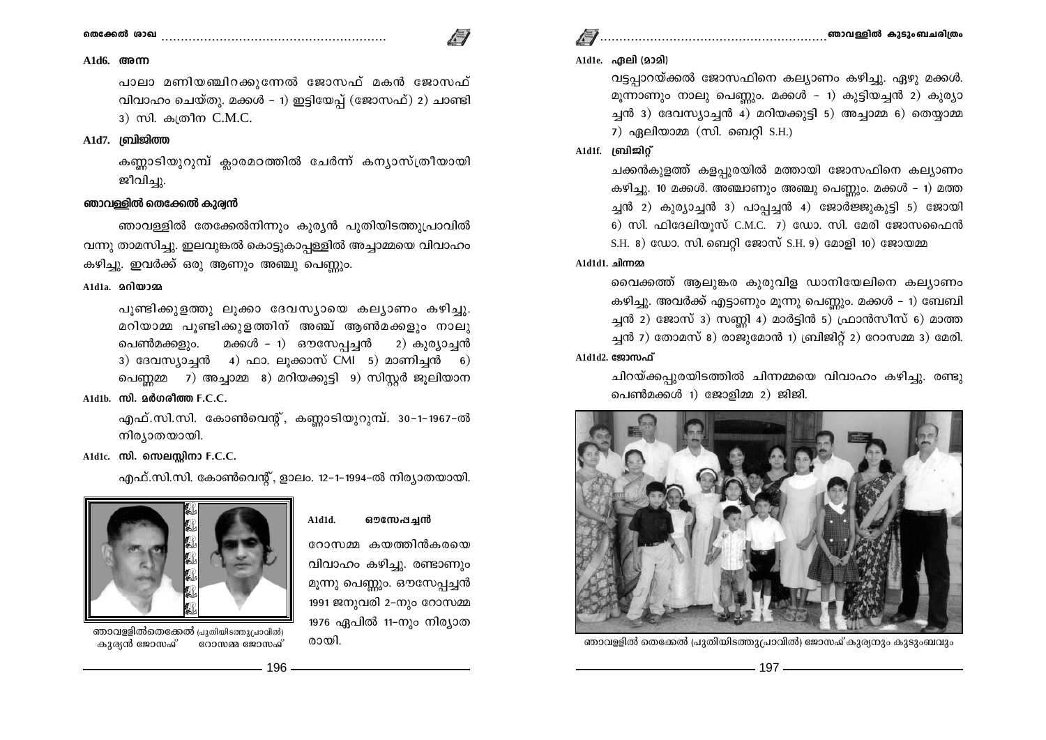## 

## 

#### $A1d6.$   $@m$

പാലാ മണിയഞ്ചിറക്കുന്നേൽ ജോസഫ് മകൻ ജോസഫ് വിവാഹം ചെയ്തു. മക്കൾ - 1) ഇട്ടിയേപ്പ് (ജോസഫ്) 2) ചാണ്ടി 3) സി. കത്രീന C.M.C.

#### $A1d7.$   $|q\rangle$  $|q\rangle$

കണ്ണാടിയുറുമ്പ് ക്ലാരമഠത്തിൽ ചേർന്ന് കന്യാസ്ത്രീയായി ജീവിച്ചു.

#### ഞാവള്ളിൽ തെക്കേൽ കുര്വൻ

ഞാവള്ളിൽ തേക്കേൽനിന്നും കുര്യൻ പുതിയിടത്തുപ്രാവിൽ വന്നു താമസിച്ചു. ഇലവുങ്കൽ കൊട്ടുകാപ്പള്ളിൽ അച്ചാമ്മയെ വിവാഹം കഴിച്ചു. ഇവർക്ക് ഒരു ആണും അഞ്ചു പെണ്ണും.

#### $A1d1a$ .  $2000020a$

പുണ്ടിക്കുളത്തു ലുക്കാ ദേവസ്യായെ കല്യാണം കഴിച്ചു. മറിയാമ്മ പൂണ്ടിക്കുളത്തിന് അഞ്ച് ആൺമക്കളും നാലു പെൺമക്കളും. മക്കൾ - 1) ഔസേപ്പച്ചൻ 2) കുര്യാച്ചൻ 3) ദേവസ്യാച്ചൻ 4) ഫാ. ലുക്കാസ് CMI 5) മാണിച്ചൻ 6) പെണ്ണമ്മ 7) അച്ചാമ്മ 8) മറിയക്കുട്ടി 9) സിസ്റ്റർ ജൂലിയാന

#### $A1d1b.$   $m0.$   $a\ddot{o}$   $o\ddot{o}$   $a\ddot{o}$   $m0.$   $F.C.C.$

എഫ്.സി.സി. കോൺവെന്റ്, കണ്ണാടിയുറുമ്പ്. 30-1-1967-ൽ നിര്യാതയായി.

#### A1d1c. സി. സെലസ്റ്റിനാ F.C.C.

എഫ്.സി.സി. കോൺവെന്റ്, ളാലം. 12-1-1994-ൽ നിര്യാതയായി.

A1d1d.

ഔസേപച്ചൻ

റോസമ്മ കയത്തിൻകരയെ വിവാഹം കഴിച്ചു. രണ്ടാണും മൂന്നു പെണ്ണും. ഔസേപ്പച്ചൻ 1991 ജനുവരി 2-നും റോസമ്മ 1976 ഏപിൽ 11-നും നിര്യാത



ഞാവള്ളിൽതെക്കേൽ പ്രുതിയിടത്തുപ്രാവിൽ) കുര്യൻ ജോസ്ഷ് റോസമ്മ ജോസഫ്

രായി.



വട്ടപ്പാറയ്ക്കൽ ജോസഫിനെ കല്യാണം കഴിച്ചു. ഏഴു മക്കൾ. മുന്നാണും നാലു പെണ്ണും. മക്കൾ - 1) കുട്ടിയച്ചൻ 2) കുര്യാ ച്ചൻ 3) ദേവസ്യാച്ചൻ 4) മറിയക്കുട്ടി 5) അച്ചാമ്മ 6) തെയ്യാമ്മ  $7)$  ഏലിയാമ്മ (സി. ബെറ്റി S.H.)

### A1d1f. ബ്രിജിറ്റ്

ചക്കൻകുളത്ത് കളപ്പുരയിൽ മത്തായി ജോസഫിനെ കല്യാണം കഴിച്ചു. 10 മക്കൾ. അഞ്ചാണും അഞ്ചു പെണ്ണും. മക്കൾ – 1) മത്ത ച്ചൻ 2) കുര്യാച്ചൻ 3) പാപ്പച്ചൻ 4) ജോർജ്ജുകൂട്ടി 5) ജോയി 6) സി. ഫിദേലിയുസ് C.M.C.  $7)$  ഡോ. സി. മേരി ജോസഫൈൻ S.H. 8) ഡോ. സി. ബെറ്റി ജോസ് S.H. 9) മോളി 10) ജോയമ്മ

#### A1d1d1. ചിന്നമ്മ

വൈക്കത്ത് ആലുങ്കര കുരുവിള ഡാനിയേലിനെ കല്യാണം കഴിച്ചു. അവർക്ക് എട്ടാണും മൂന്നു പെണ്ണും. മക്കൾ – 1) ബേബി ച്ചൻ 2) ജോസ് 3) സണ്ണി 4) മാർട്ടിൻ 5) ഫ്രാൻസീസ് 6) മാത്ത ച്ചൻ 7) തോമസ് 8) രാജുമോൻ 1) ബ്രിജിറ്റ് 2) റോസമ്മ 3) മേരി. A1d1d2. ജോസഫ്

ചിറയ്ക്കപ്പുരയിടത്തിൽ ചിന്നമ്മയെ വിവാഹം കഴിച്ചു. രണ്ടു പെൺമക്കൾ 1) ജോളിമ്മ 2) ജിജി.



ഞാവള്ളിൽ തെക്കേൽ (പുതിയിടത്തുപ്രാവിൽ) ജോസഫ് കുര്യനും കുടുംബവും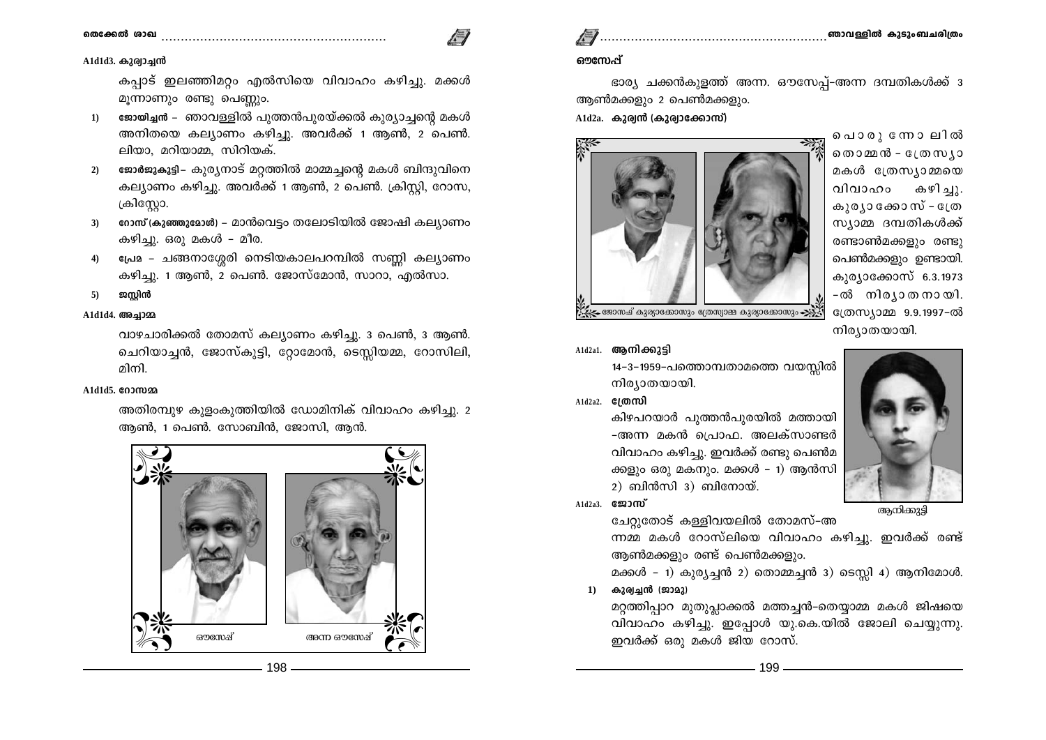#### 

#### A1d1d3. കുര്വാച്ചൻ

തെക്കേൽ ശാഖ

കപാട് ഇലഞ്ഞിമറ്റം എൽസിയെ വിവാഹം കഴിച്ചു. മക്കൾ മൂന്നാണും രണ്ടു പെണ്ണും.

- ജോയിച്ചൻ ഞാവള്ളിൽ പുത്തൻപുരയ്ക്കൽ കുര്യാച്ചന്റെ മകൾ  $1)$ അനിതയെ കല്യാണം കഴിച്ചു. അവർക്ക് 1 ആൺ, 2 പെൺ. ലിയാ, മറിയാമ്മ, സിറിയക്.
- ജോർജുകുട്ടി– കുര്യനാട് മറ്റത്തിൽ മാമ്മച്ചന്റെ മകൾ ബിന്ദുവിനെ  $2)$ കല്യാണം കഴിച്ചു. അവർക്ക് 1 ആൺ, 2 പെൺ. ക്രിസ്റ്റി, റോസ, ക്രിസ്റ്റോ.
- റോസ് (കുഞ്ഞുമോൾ) മാൻവെട്ടം തലോടിയിൽ ജോഷി കല്യാണം  $3)$ കഴിച്ചു. ഒരു മകൾ – മീര.
- പ്രേമ ചങ്ങനാശ്ശേരി നെടിയകാലപറമ്പിൽ സണ്ണി കല്യാണം  $\phi$ കഴിച്ചു. 1 ആൺ, 2 പെൺ. ജോസ്മോൻ, സാറാ, എൽസാ.
- ജസ്റ്റിൻ  $5)$

### A1d1d4. അച്ചാമ്മ

വാഴചാരിക്കൽ തോമസ് കല്യാണം കഴിച്ചു. 3 പെൺ, 3 ആൺ. ചെറിയാച്ചൻ, ജോസ്കുട്ടി, റ്റോമോൻ, ടെസ്സിയമ്മ, റോസിലി, മിനി

#### A1d1d5, 0000000

അതിരമ്പുഴ കുളംകുത്തിയിൽ ഡോമിനിക് വിവാഹം കഴിച്ചു. 2 ആൺ, 1 പെൺ. സോബിൻ, ജോസി, ആൻ.

ഔസേഷ്

198



അന്ന ഔസേഷ്

### ഔസേപ്പ്

ഭാര്യ ചക്കൻകുളത്ത് അന്ന. ഔസേപ്പ്-അന്ന ദമ്പതികൾക്ക് ദ ആൺമക്കളും 2 പെൺമക്കളും.  $A1d2a$ . കുര്വൻ (കുര്വാക്കോസ്)



പൊരുന്നോലിൽ തൊമ്മൻ - ഡ്രേസ്യാ മകൾ ത്രേസ്യാമ്മയെ വിവാഹം കഴിച്ചു. കുര്യാക്കോസ് - ത്രേ സ്യാമ്മ ദമ്പതികൾക്ക് രണ്ടാൺമക്കളും രണ്ടു പെൺമക്കളും ഉണ്ടായി. കുര്യാക്കോസ് 6.3.1973 -ൽ നിര്യാതനായി. ന്ത്രസ്യാമ്മ 9.9.1997-ൽ നിര്യാതയായി.



A1d2a1. ആനിക്കുട്ടി

14–3–1959–പത്തൊമ്പതാമത്തെ വയസ്സിൽ നിര്യാതയായി.

 $A1d2a2.$   $BI@m$ 

കിഴപറയാർ പുത്തൻപുരയിൽ മത്തായി -അന്ന മകൻ പ്രൊഫ. അലക്സാണ്ടർ വിവാഹം കഴിച്ചു. ഇവർക്ക് രണ്ടു പെൺമ ക്കളും ഒരു മകനും. മക്കൾ – 1) ആൻസി  $2)$  ബിൻസി  $3)$  ബിനോയ്.

A1d2a3. ஜே3ஸ்

അനിക്കുട്ടി

ചേറ്റുതോട് കള്ളിവയലിൽ തോമസ്–അ ന്നമ്മ മകൾ റോസ്ലിയെ വിവാഹം കഴിച്ചു. ഇവർക്ക് രണ്ട് ആൺമക്കളും രണ്ട് പെൺമക്കളും.

മക്കൾ - 1) കുര്യച്ചൻ 2) തൊമ്മച്ചൻ 3) ടെസ്ലി 4) ആനിമോൾ.

 $1)$ കുര്വച്ചൻ (ജാമു)

മറ്റത്തിപ്പാറ മുതുപ്പാക്കൽ മത്തച്ചൻ-തെയ്യാമ്മ മകൾ ജിഷയെ വിവാഹം കഴിച്ചു. ഇപ്പോൾ യു.കെ.യിൽ ജോലി ചെയ്യുന്നു. ഇവർക്ക് ഒരു മകൾ ജിയ റോസ്.

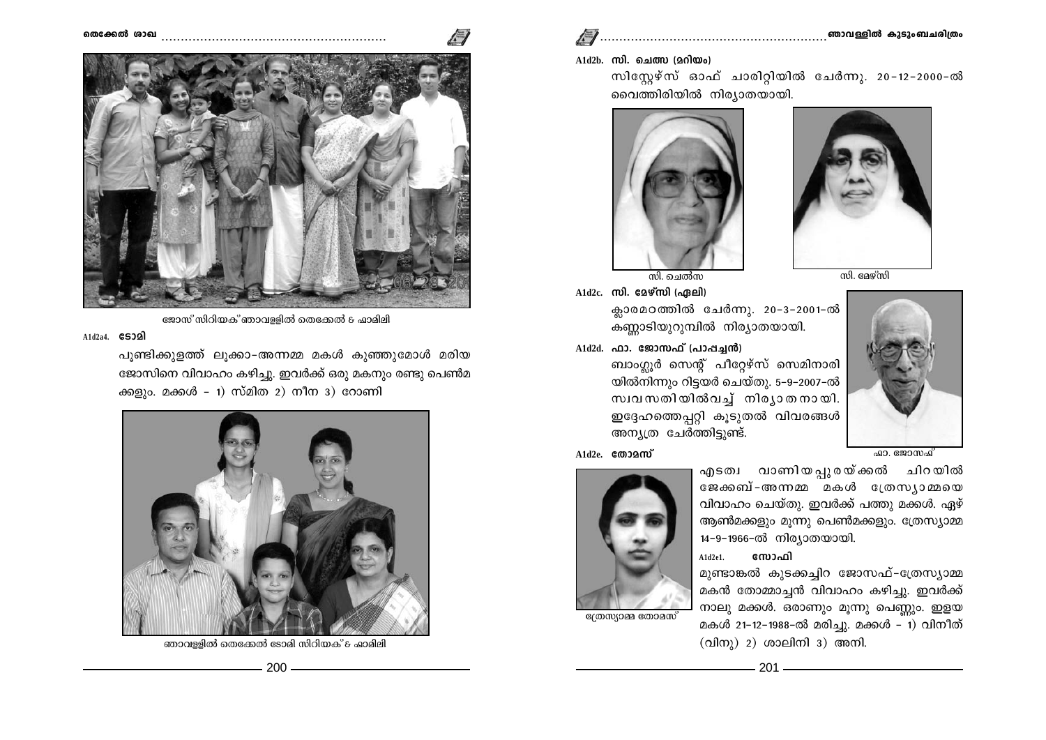



ജോസ് സിറിയക് ഞാവള്ളിൽ തെക്കേൽ & ഫാമിമി

 $A1d2a4.$   $\varepsilon$ 532)

പൂണ്ടിക്കുളത്ത് ലൂക്കാ-അന്നമ്മ മകൾ കുഞ്ഞുമോൾ മരിയ ജോസിനെ വിവാഹം കഴിച്ചു. ഇവർക്ക് ഒരു മകനും രണ്ടു പെൺമ ക്കളും. മക്കൾ - 1) സ്മിത 2) നീന 3) റോണി



ഞാവള്ളിൽ തെക്കേൽ ടോമി സിറിയക് & ഫാമിലി

 $A1d2b$ . സി. ചെത്സ (മറിയം)

സിസ്റ്റേഴ്സ് ഓഫ് ചാരിറ്റിയിൽ ചേർന്നു. 20-12-2000-ൽ വൈത്തിരിയിൽ നിര്യാതയായി.





A1d2c. സി. മേഴ്സി (ഏലി) ക്ലാരമഠത്തിൽ ചേർന്നു. 20-3-2001-ൽ

കണ്ണാടിയുറുമ്പിൽ നിര്യാതയായി.  $A1d2d.$  ഫാ. ജോസഫ് (പാപ്പച്ചൻ)

ബാംഗ്ലൂർ സെന്റ് പീറ്റേഴ്സ് സെമിനാരി യിൽനിന്നും റിട്ടയർ ചെയ്തു. 5-9-2007-ൽ സ്വവസതിയിൽവച്ച് നിര്യാതനായി. ഇദ്ദേഹത്തെപ്പറ്റി കുടുതൽ വിവരങ്ങൾ അന്യത്ര ചേർത്തിട്ടുണ്ട്.

 $A1d2e$   $g$   $m$  $\Omega$  $m\gamma$ 



ത്രേസ്യാമ്മ തോമസ്



സോഫി  $A1d2e1.$ 

മുണ്ടാങ്കൽ കുടക്കച്ചിറ ജോസഫ്-ത്രേസ്യാമ്മ മകൻ തോമ്മാച്ചൻ വിവാഹം കഴിച്ചു. ഇവർക്ക് നാലു മക്കൾ. ഒരാണും മൂന്നു പെണ്ണും. ഇളയ മകൾ 21-12-1988-ൽ മരിച്ചു. മക്കൾ – 1) വിനീത്  $\langle$ വിനു $\rangle$  2) ശാലിനി 3) അനി.



സി. ദേഴ്സി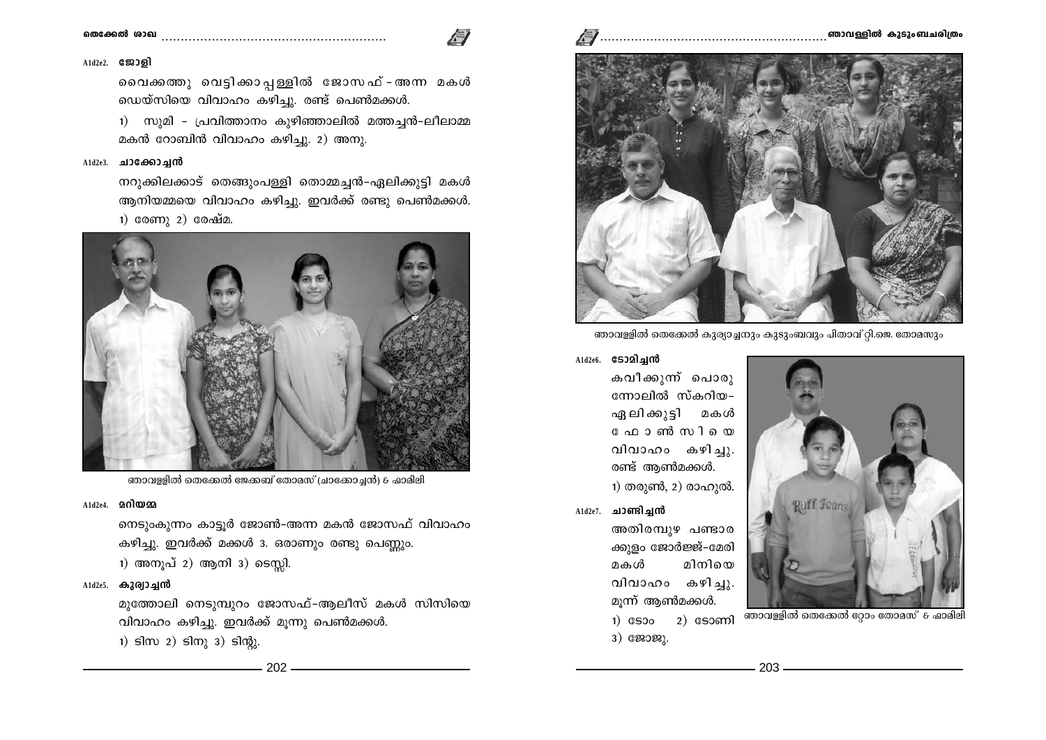#### ഞാവള്ളിൽ കുടുംബചരിത്രം

## 

#### $A1d2e2.$  ജോളി

വൈക്കത്തു വെട്ടിക്കാപ്പള്ളിൽ ജോസഫ് - അന്ന മകൾ ഡെയ്സിയെ വിവാഹം കഴിച്ചു. രണ്ട് പെൺമക്കൾ.

1) സുമി - പ്രവിത്താനം കുഴിഞ്ഞാലിൽ മത്തച്ചൻ-ലീലാമ്മ മകൻ റോബിൻ വിവാഹം കഴിച്ചു. 2) അനു.

#### $A1d2e3.$  ചാക്കോച്ചൻ

നറുക്കിലക്കാട് തെങ്ങുംപള്ളി തൊമ്മച്ചൻ-ഏലിക്കുട്ടി മകൾ ആനിയമ്മയെ വിവാഹം കഴിച്ചു. ഇവർക്ക് രണ്ടു പെൺമക്കൾ. 1) രേണു 2) രേഷ്മ.



ഞാവള്ളിൽ തെക്കേൽ ജേക്കബ് തോമസ് (ചാക്കോച്ചൻ) & ഫാമിലി

#### A1d2e4. 2010022

നെടുംകുന്നം കാട്ടൂർ ജോൺ-അന്ന മകൻ ജോസഫ് വിവാഹം കഴിച്ചു. ഇവർക്ക് മക്കൾ 3. ഒരാണും രണ്ടു പെണ്ണും. 1) അനൂപ് 2) ആനി 3) ടെസ്സി.

#### A1d2e5. കുര്വാച്ചൻ

മുത്തോലി നെടുമ്പുറം ജോസഫ്-ആലീസ് മകൾ സിസിയെ വിവാഹം കഴിച്ചു. ഇവർക്ക് മൂന്നു പെൺമക്കൾ.

1)  $s \to 2$ )  $s \to 3$ )  $s \to 3$ 



ഞാവള്ളിൽ തെക്കേൽ കുര്യാച്ചനും കുടുംബവും പിതാവ് റ്റി.ജെ. തോമസും

## Ald2e6. S320 algnd

കവീക്കുന്ന് പൊരു ന്നോലിൽ സ്കറിയ– ഏലിക്കുട്ടി മകൾ ഫോൺസിയെ വിവാഹം കഴിച്ചു. രണ്ട് ആൺമക്കൾ.

1) തരുൺ, 2) രാഹുൽ.

A1d2e7. ചാണ്ടിച്ചൻ

അതിരമ്പുഴ പണ്ടാര ക്കുളം ജോർജ്ജ്-മേരി മകൾ മിനിയെ വിവാഹം കഴിചു. മുന്ന് ആൺമക്കൾ.